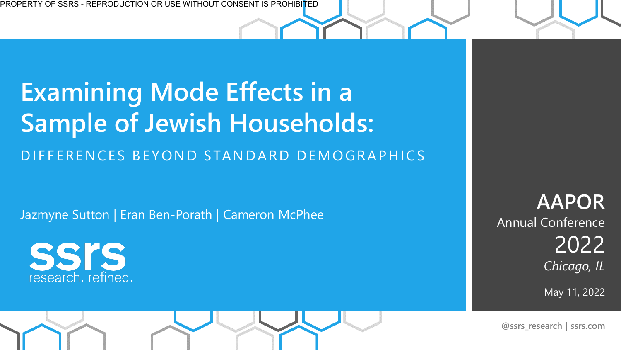## **Examining Mode Effects in a Sample of Jewish Households:**  DIFFERENCES BEYOND STANDARD DEMOGRAPHICS

Jazmyne Sutton | Eran Ben-Porath | Cameron McPhee



**AAPOR**  Annual Conference 2022 *Chicago, IL*

May 11, 2022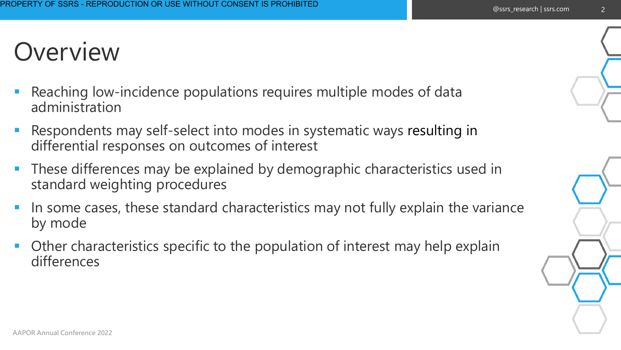#### **Overview**

- Reaching low-incidence populations requires multiple modes of data administration
- Respondents may self-select into modes in systematic ways resulting in differential responses on outcomes of interest
- **These differences may be explained by demographic characteristics used in** standard weighting procedures
- In some cases, these standard characteristics may not fully explain the variance by mode
- Other characteristics specific to the population of interest may help explain differences



2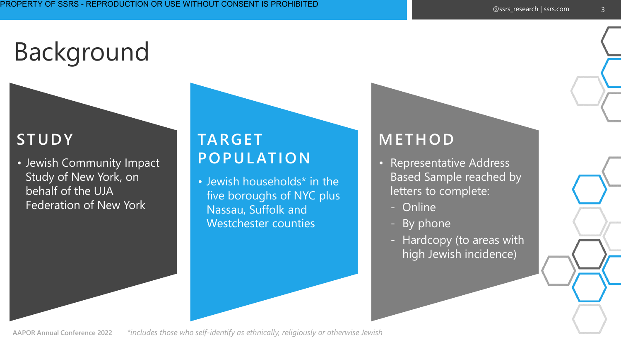# Background

#### **STUDY**

• Jewish Community Impact Study of New York, on behalf of the UJA Federation of New York

#### **TARGET POPUL ATION**

• Jewish households\* in the five boroughs of NYC plus Nassau, Suffolk and Westchester counties

#### **METHOD**

- Representative Address Based Sample reached by letters to complete:
	- Online
	- By phone
	- Hardcopy (to areas with high Jewish incidence)

**AAPOR Annual Conference 2022**  *\*includes those who self-identify as ethnically, religiously or otherwise Jewish*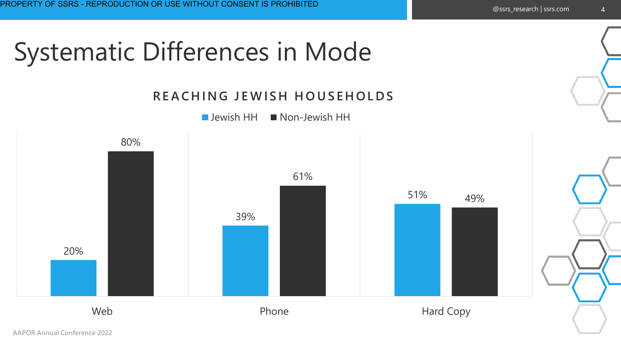### 20% 39% 51% 80% 61% 49% Web **Phone** Phone Hard Copy **REACHING JEWISH HOUSEHOLDS**  $\blacksquare$  Jewish HH  $\blacksquare$  Non-Jewish HH Systematic Differences in Mode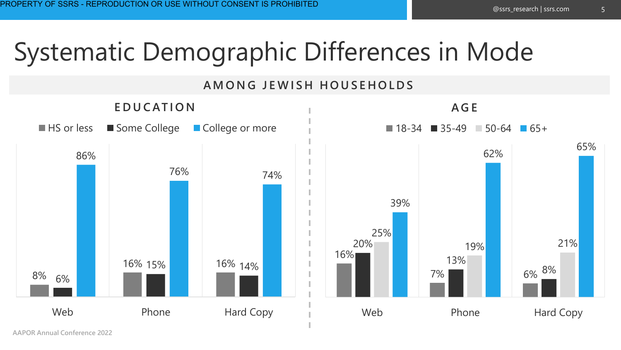## Systematic Demographic Differences in Mode

#### **A M O N G J E W I S H H O U S E H O L D S**

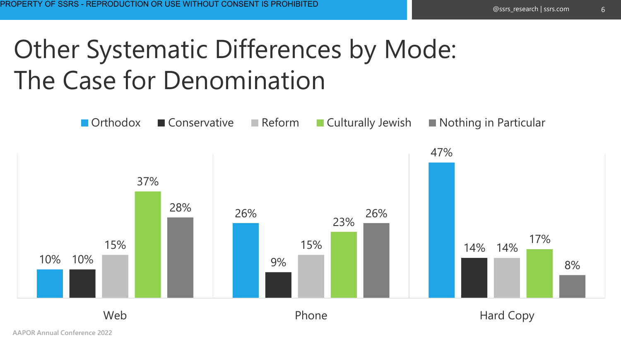## Other Systematic Differences by Mode: The Case for Denomination

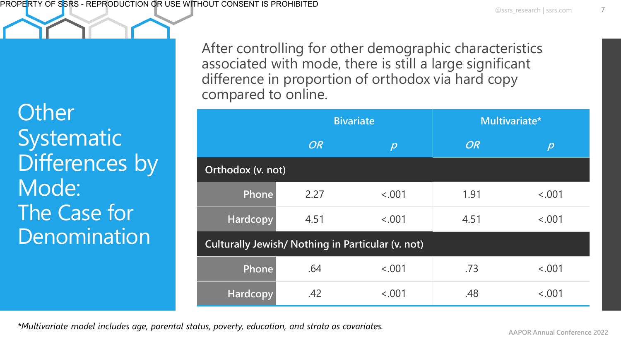**Other Systematic** Differences by Mode: The Case for Denomination

After controlling for other demographic characteristics associated with mode, there is still a large significant difference in proportion of orthodox via hard copy compared to online.

|                                                   |           | <b>Bivariate</b> | Multivariate* |                      |  |  |  |
|---------------------------------------------------|-----------|------------------|---------------|----------------------|--|--|--|
|                                                   | <b>OR</b> | $ \mathcal{D} $  | <b>OR</b>     | $\boldsymbol{\beta}$ |  |  |  |
| Orthodox (v. not)                                 |           |                  |               |                      |  |  |  |
| Phone                                             | 2.27      | < .001           | 1.91          | < .001               |  |  |  |
| Hardcopy                                          | 4.51      | < .001           | 4.51          | < .001               |  |  |  |
| Culturally Jewish/ Nothing in Particular (v. not) |           |                  |               |                      |  |  |  |
| Phone                                             | .64       | < .001           | .73           | < .001               |  |  |  |
| Hardcopy                                          | .42       | < .001           | .48           | < .001               |  |  |  |

*\*Multivariate model includes age, parental status, poverty, education, and strata as covariates.*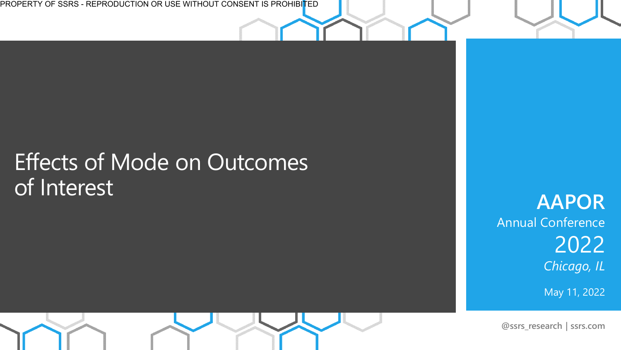PROPERTY OF SSRS - REPRODUCTION OR USE WITHOUT CONSENT IS PROHIBI<mark>T</mark>ED

#### Effects of Mode on Outcomes of Interest

**AAPOR**  Annual Conference 2022 *Chicago, IL*

May 11, 2022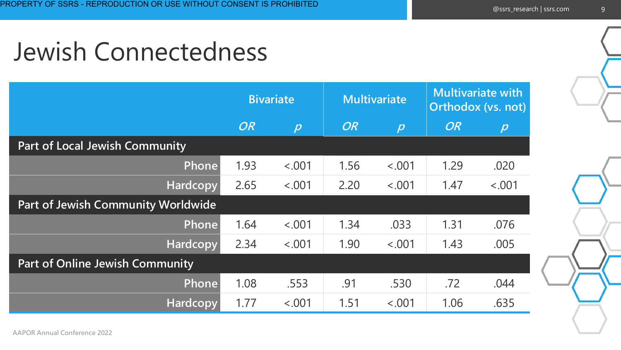### Jewish Connectedness

|                                           | <b>Bivariate</b> |                  | <b>Multivariate</b> |                  | <b>Multivariate with</b><br>Orthodox (vs. not) |                      |
|-------------------------------------------|------------------|------------------|---------------------|------------------|------------------------------------------------|----------------------|
|                                           | <b>OR</b>        | $\boldsymbol{D}$ | <b>OR</b>           | $\boldsymbol{p}$ | <b>OR</b>                                      | $\boldsymbol{\beta}$ |
| <b>Part of Local Jewish Community</b>     |                  |                  |                     |                  |                                                |                      |
| Phone                                     | 1.93             | < .001           | 1.56                | < .001           | 1.29                                           | .020                 |
| <b>Hardcopy</b>                           | 2.65             | < .001           | 2.20                | < .001           | 1.47                                           | < .001               |
| <b>Part of Jewish Community Worldwide</b> |                  |                  |                     |                  |                                                |                      |
| Phone                                     | 1.64             | < .001           | 1.34                | .033             | 1.31                                           | .076                 |
| Hardcopy                                  | 2.34             | < .001           | 1.90                | < .001           | 1.43                                           | .005                 |
| <b>Part of Online Jewish Community</b>    |                  |                  |                     |                  |                                                |                      |
| Phone                                     | 1.08             | .553             | .91                 | .530             | .72                                            | .044                 |
| Hardcopy                                  | 1.77             | < .001           | 1.51                | < .001           | 1.06                                           | .635                 |

9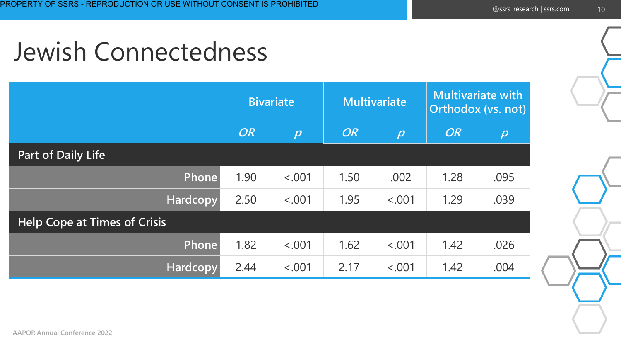### Jewish Connectedness

|                                     | <b>Bivariate</b> |                  | <b>Multivariate</b> |                     | <b>Multivariate with</b><br>Orthodox (vs. not) |                     |
|-------------------------------------|------------------|------------------|---------------------|---------------------|------------------------------------------------|---------------------|
|                                     | <b>OR</b>        | $\boldsymbol{p}$ | <b>OR</b>           | $\boldsymbol{\rho}$ | <b>OR</b>                                      | $\boldsymbol{\rho}$ |
| <b>Part of Daily Life</b>           |                  |                  |                     |                     |                                                |                     |
| Phone                               | 1.90             | < .001           | 1.50                | .002                | 1.28                                           | .095                |
| <b>Hardcopy</b>                     | 2.50             | < .001           | 1.95                | < .001              | 1.29                                           | .039                |
| <b>Help Cope at Times of Crisis</b> |                  |                  |                     |                     |                                                |                     |
| Phone                               | 1.82             | < .001           | 1.62                | < .001              | 1.42                                           | .026                |
| Hardcopy                            | 2.44             | < .001           | 2.17                | < .001              | 1.42                                           | .004                |

10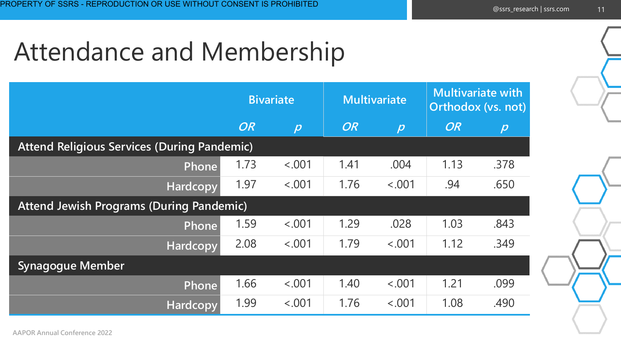# Attendance and Membership

|                                                    | <b>Bivariate</b> |                  | <b>Multivariate</b> |                      | <b>Multivariate with</b><br>Orthodox (vs. not) |                       |  |  |
|----------------------------------------------------|------------------|------------------|---------------------|----------------------|------------------------------------------------|-----------------------|--|--|
|                                                    | <b>OR</b>        | $\boldsymbol{D}$ | <b>OR</b>           | $\boldsymbol{\beta}$ | <b>OR</b>                                      | $ \boldsymbol{\rho} $ |  |  |
| <b>Attend Religious Services (During Pandemic)</b> |                  |                  |                     |                      |                                                |                       |  |  |
| Phone                                              | 1.73             | < .001           | 1.41                | .004                 | 1.13                                           | .378                  |  |  |
| Hardcopy                                           | 1.97             | < .001           | 1.76                | < .001               | .94                                            | .650                  |  |  |
| <b>Attend Jewish Programs (During Pandemic)</b>    |                  |                  |                     |                      |                                                |                       |  |  |
| Phone                                              | 1.59             | < 0.001          | 1.29                | .028                 | 1.03                                           | .843                  |  |  |
| Hardcopy                                           | 2.08             | < .001           | 1.79                | < .001               | 1.12                                           | .349                  |  |  |
| <b>Synagogue Member</b>                            |                  |                  |                     |                      |                                                |                       |  |  |
| Phone                                              | 1.66             | < .001           | 1.40                | < .001               | 1.21                                           | .099                  |  |  |
| <b>Hardcopy</b>                                    | 1.99             | < .001           | 1.76                | < 0.001              | 1.08                                           | .490                  |  |  |

11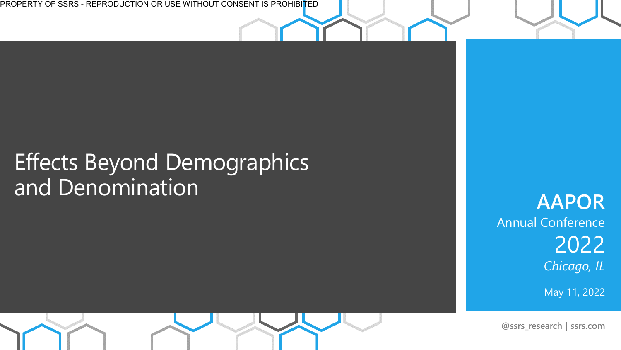PROPERTY OF SSRS - REPRODUCTION OR USE WITHOUT CONSENT IS PROHIBITED

#### Effects Beyond Demographics and Denomination

**AAPOR**  Annual Conference 2022 *Chicago, IL*

May 11, 2022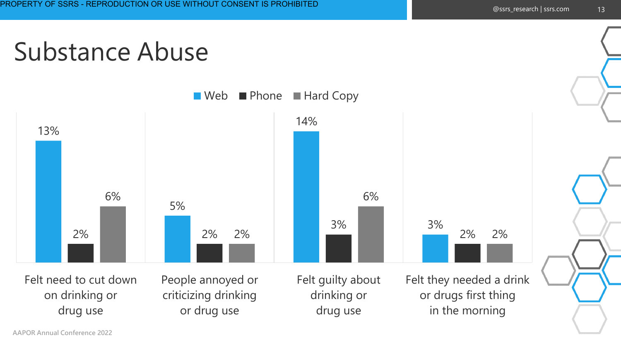### Substance Abuse

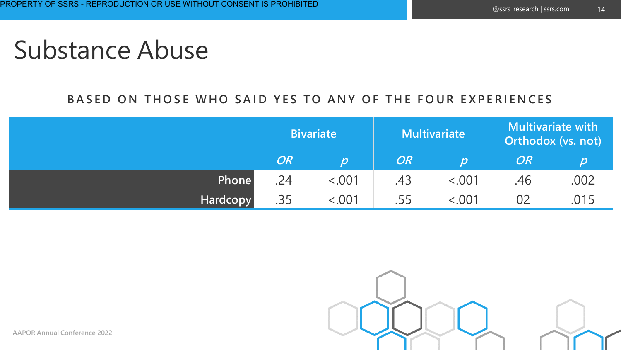#### Substance Abuse

#### BASED ON THOSE WHO SAID YES TO ANY OF THE FOUR EXPERIENCES

|              | <b>Bivariate</b> |       | <b>Multivariate</b> |                              | Multivariate with<br>Orthodox (vs. not) |      |
|--------------|------------------|-------|---------------------|------------------------------|-----------------------------------------|------|
|              | <b>OR</b>        | וסו   | OR                  | $ \boldsymbol{\mathcal{D}} $ | OR                                      |      |
| <b>Phone</b> | .24              | 0.001 | .43                 | 0.001                        | .46                                     | .002 |
| Hardcopy     | .35              | 0.001 | .55                 | 0.001                        | 02                                      | .015 |

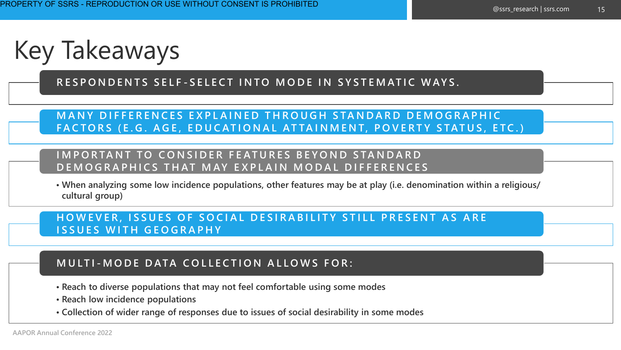Key Takeaways

**R E S P O N D E N T S S E L F - S E L E C T I N T O M O D E I N S Y S T E M AT I C W AY S .**

**MANY DIFFERENCES EXPLAINED THROUGH STANDARD DEMOGRAPHIC** FACTORS (E.G. AGE, EDUCATIONAL ATTAINMENT, POVERTY STATUS, ETC.)

#### **IMPORTANT TO CONSIDER FEATURES BEYOND STANDARD** D E M O G R A P H I C S T H A T M A Y E X P L A I N M O D A L D I F F E R E N C E S

**• When analyzing some low incidence populations, other features may be at play (i.e. denomination within a religious/ cultural group)**

**HOWEVER, ISSUES OF SOCIAL DESIRABILITY STILL PRESENT AS ARE I S S U E S W I T H G E O G R A P H Y**

#### **M U LT I - M O D E D ATA C O L L E C T I O N A L L O W S F O R :**

- **• Reach to diverse populations that may not feel comfortable using some modes**
- **• Reach low incidence populations**
- **• Collection of wider range of responses due to issues of social desirability in some modes**